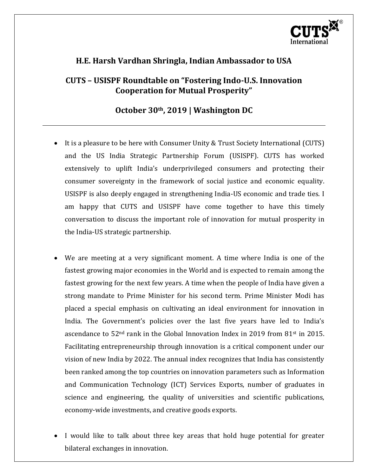

# **H.E. Harsh Vardhan Shringla, Indian Ambassador to USA**

## **CUTS – USISPF Roundtable on "Fostering Indo-U.S. Innovation Cooperation for Mutual Prosperity"**

### **October 30th, 2019 | Washington DC**

- It is a pleasure to be here with Consumer Unity & Trust Society International (CUTS) and the US India Strategic Partnership Forum (USISPF). CUTS has worked extensively to uplift India's underprivileged consumers and protecting their consumer sovereignty in the framework of social justice and economic equality. USISPF is also deeply engaged in strengthening India-US economic and trade ties. I am happy that CUTS and USISPF have come together to have this timely conversation to discuss the important role of innovation for mutual prosperity in the India-US strategic partnership.
- We are meeting at a very significant moment. A time where India is one of the fastest growing major economies in the World and is expected to remain among the fastest growing for the next few years. A time when the people of India have given a strong mandate to Prime Minister for his second term. Prime Minister Modi has placed a special emphasis on cultivating an ideal environment for innovation in India. The Government's policies over the last five years have led to India's ascendance to  $52<sup>nd</sup>$  rank in the Global Innovation Index in 2019 from 81<sup>st</sup> in 2015. Facilitating entrepreneurship through innovation is a critical component under our vision of new India by 2022. The annual index recognizes that India has consistently been ranked among the top countries on innovation parameters such as Information and Communication Technology (ICT) Services Exports, number of graduates in science and engineering, the quality of universities and scientific publications, economy-wide investments, and creative goods exports.
- I would like to talk about three key areas that hold huge potential for greater bilateral exchanges in innovation.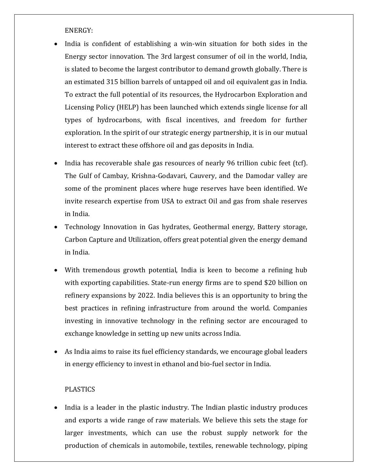ENERGY:

- India is confident of establishing a win-win situation for both sides in the Energy sector innovation. The 3rd largest consumer of oil in the world, India, is slated to become the largest contributor to demand growth globally. There is an estimated 315 billion barrels of untapped oil and oil equivalent gas in India. To extract the full potential of its resources, the Hydrocarbon Exploration and Licensing Policy (HELP) has been launched which extends single license for all types of hydrocarbons, with fiscal incentives, and freedom for further exploration. In the spirit of our strategic energy partnership, it is in our mutual interest to extract these offshore oil and gas deposits in India.
- India has recoverable shale gas resources of nearly 96 trillion cubic feet (tcf). The Gulf of Cambay, Krishna-Godavari, Cauvery, and the Damodar valley are some of the prominent places where huge reserves have been identified. We invite research expertise from USA to extract Oil and gas from shale reserves in India.
- Technology Innovation in Gas hydrates, Geothermal energy, Battery storage, Carbon Capture and Utilization, offers great potential given the energy demand in India.
- With tremendous growth potential, India is keen to become a refining hub with exporting capabilities. State-run energy firms are to spend \$20 billion on refinery expansions by 2022. India believes this is an opportunity to bring the best practices in refining infrastructure from around the world. Companies investing in innovative technology in the refining sector are encouraged to exchange knowledge in setting up new units across India.
- As India aims to raise its fuel efficiency standards, we encourage global leaders in energy efficiency to invest in ethanol and bio-fuel sector in India.

### PLASTICS

• India is a leader in the plastic industry. The Indian plastic industry produces and exports a wide range of raw materials. We believe this sets the stage for larger investments, which can use the robust supply network for the production of chemicals in automobile, textiles, renewable technology, piping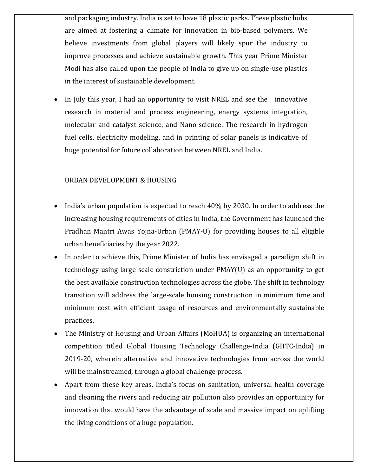and packaging industry. India is set to have 18 plastic parks. These plastic hubs are aimed at fostering a climate for innovation in bio-based polymers. We believe investments from global players will likely spur the industry to improve processes and achieve sustainable growth. This year Prime Minister Modi has also called upon the people of India to give up on single-use plastics in the interest of sustainable development.

 In July this year, I had an opportunity to visit NREL and see the innovative research in material and process engineering, energy systems integration, molecular and catalyst science, and Nano-science. The research in hydrogen fuel cells, electricity modeling, and in printing of solar panels is indicative of huge potential for future collaboration between NREL and India.

#### URBAN DEVELOPMENT & HOUSING

- India's urban population is expected to reach 40% by 2030. In order to address the increasing housing requirements of cities in India, the Government has launched the Pradhan Mantri Awas Yojna-Urban (PMAY-U) for providing houses to all eligible urban beneficiaries by the year 2022.
- In order to achieve this, Prime Minister of India has envisaged a paradigm shift in technology using large scale constriction under PMAY(U) as an opportunity to get the best available construction technologies across the globe. The shift in technology transition will address the large-scale housing construction in minimum time and minimum cost with efficient usage of resources and environmentally sustainable practices.
- The Ministry of Housing and Urban Affairs (MoHUA) is organizing an international competition titled Global Housing Technology Challenge-India (GHTC-India) in 2019-20, wherein alternative and innovative technologies from across the world will be mainstreamed, through a global challenge process.
- Apart from these key areas, India's focus on sanitation, universal health coverage and cleaning the rivers and reducing air pollution also provides an opportunity for innovation that would have the advantage of scale and massive impact on uplifting the living conditions of a huge population.